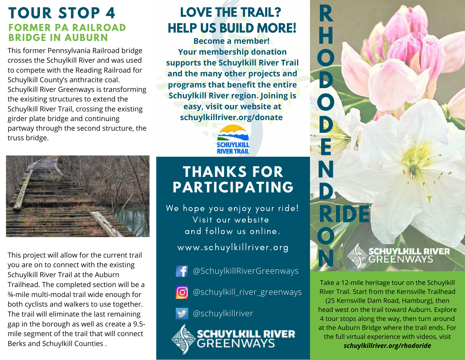### **TOUR STOP 4 FORMER PA RAILROAD BRIDGE IN AUBURN**

This former Pennsylvania Railroad bridge crosses the Schuylkill River and was used to compete with the Reading Railroad for Schuylkill County's anthracite coal. Schuylkill River Greenways is transforming the exisiting structures to extend the Schuylkill River Trail, crossing the existing girder plate bridge and continuing partway through the second structure, the truss bridge.

### **LOVE THE TRAIL? HELP US BUILD MORE!**

**R**

**H**

**O**

**D**

**O**

**D**

**E**

**D**

**O**

**N**

**R IDE**

**N**

**Become a member! Your membership donation supports the Schuylkill River Trail and the many other projects and programs that benefit the entire Schuylkill River region. Joining is easy, visit our website at schuylkillriver.org/donate**





This project will allow for the current trail you are on to connect with the existing Schuylkill River Trail at the Auburn Trailhead. The completed section will be a ¾-mile multi-modal trail wide enough for both cyclists and walkers to use together. The trail will eliminate the last remaining gap in the borough as well as create a 9.5 mile segment of the trail that will connect Berks and Schuylkill Counties .

### **THANKS FOR PARTICIPATING**

We hope you enjoy your ride! Visit our website and follow us online. www.schuylkillriver.org

- @SchuylkillRiverGreenways
- @schuylkill\_river\_greenways ര്ര

@schuylkillriver



SCHUYLKILL RIVER

Take a 12-mile heritage tour on the Schuylkill River Trail. Start from the Kernsville Trailhead (25 Kernsville Dam Road, Hamburg), then head west on the trail toward Auburn. Explore 4 tour stops along the way, then turn around at the Auburn Bridge where the trail ends. For the full virtual experience with videos, visit *schuylkillriver.org/rhodoride*